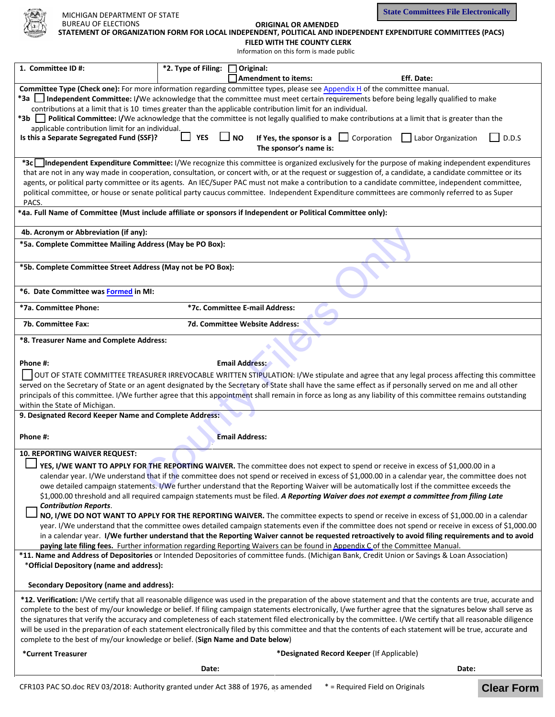

**State Committees File Electronically**

| <b>BUREAU OF ELECTIONS</b> | <b>ORIGINAL OR AMENDED</b>                                                                                    |  |
|----------------------------|---------------------------------------------------------------------------------------------------------------|--|
|                            | STATEMENT OF ORGANIZATION FORM FOR LOCAL INDEPENDENT, POLITICAL AND INDEPENDENT EXPENDITURE COMMITTEES (PACS) |  |
|                            |                                                                                                               |  |

**FILED WITH THE COUNTY CLERK** Information on this form is made public

| 1. Committee ID#:                                                                                                                                                                                                                                                                      | *2. Type of Filing: | Original:<br><b>Amendment to items:</b>                         | Eff. Date:                                                                                                                                                  |  |
|----------------------------------------------------------------------------------------------------------------------------------------------------------------------------------------------------------------------------------------------------------------------------------------|---------------------|-----------------------------------------------------------------|-------------------------------------------------------------------------------------------------------------------------------------------------------------|--|
| Committee Type (Check one): For more information regarding committee types, please see Appendix H of the committee manual.                                                                                                                                                             |                     |                                                                 |                                                                                                                                                             |  |
| *3a Independent Committee: I/We acknowledge that the committee must meet certain requirements before being legally qualified to make                                                                                                                                                   |                     |                                                                 |                                                                                                                                                             |  |
| contributions at a limit that is 10 times greater than the applicable contribution limit for an individual.                                                                                                                                                                            |                     |                                                                 |                                                                                                                                                             |  |
| *3b    <br>Political Committee: I/We acknowledge that the committee is not legally qualified to make contributions at a limit that is greater than the                                                                                                                                 |                     |                                                                 |                                                                                                                                                             |  |
| applicable contribution limit for an individual.                                                                                                                                                                                                                                       |                     |                                                                 |                                                                                                                                                             |  |
| Is this a Separate Segregated Fund (SSF)?                                                                                                                                                                                                                                              | <b>YES</b>          | <b>NO</b><br>If Yes, the sponsor is a<br>The sponsor's name is: | $\Box$ Corporation<br>Labor Organization<br>D.D.S                                                                                                           |  |
|                                                                                                                                                                                                                                                                                        |                     |                                                                 | *3c Independent Expenditure Committee: I/We recognize this committee is organized exclusively for the purpose of making independent expenditures            |  |
|                                                                                                                                                                                                                                                                                        |                     |                                                                 | that are not in any way made in cooperation, consultation, or concert with, or at the request or suggestion of, a candidate, a candidate committee or its   |  |
| agents, or political party committee or its agents. An IEC/Super PAC must not make a contribution to a candidate committee, independent committee,                                                                                                                                     |                     |                                                                 |                                                                                                                                                             |  |
|                                                                                                                                                                                                                                                                                        |                     |                                                                 | political committee, or house or senate political party caucus committee. Independent Expenditure committees are commonly referred to as Super              |  |
| PACS.                                                                                                                                                                                                                                                                                  |                     |                                                                 |                                                                                                                                                             |  |
| *4a. Full Name of Committee (Must include affiliate or sponsors if Independent or Political Committee only):                                                                                                                                                                           |                     |                                                                 |                                                                                                                                                             |  |
| 4b. Acronym or Abbreviation (if any):                                                                                                                                                                                                                                                  |                     |                                                                 |                                                                                                                                                             |  |
| *5a. Complete Committee Mailing Address (May be PO Box):                                                                                                                                                                                                                               |                     |                                                                 |                                                                                                                                                             |  |
| *5b. Complete Committee Street Address (May not be PO Box):                                                                                                                                                                                                                            |                     |                                                                 |                                                                                                                                                             |  |
|                                                                                                                                                                                                                                                                                        |                     |                                                                 |                                                                                                                                                             |  |
| *6. Date Committee was Formed in MI:                                                                                                                                                                                                                                                   |                     |                                                                 |                                                                                                                                                             |  |
| *7a. Committee Phone:                                                                                                                                                                                                                                                                  |                     | *7c. Committee E-mail Address:                                  |                                                                                                                                                             |  |
| 7b. Committee Fax:                                                                                                                                                                                                                                                                     |                     | 7d. Committee Website Address:                                  |                                                                                                                                                             |  |
| *8. Treasurer Name and Complete Address:                                                                                                                                                                                                                                               |                     |                                                                 |                                                                                                                                                             |  |
| Phone #:                                                                                                                                                                                                                                                                               |                     | <b>Email Address:</b>                                           |                                                                                                                                                             |  |
| OUT OF STATE COMMITTEE TREASURER IRREVOCABLE WRITTEN STIPULATION: I/We stipulate and agree that any legal process affecting this committee                                                                                                                                             |                     |                                                                 |                                                                                                                                                             |  |
|                                                                                                                                                                                                                                                                                        |                     |                                                                 | served on the Secretary of State or an agent designated by the Secretary of State shall have the same effect as if personally served on me and all other    |  |
|                                                                                                                                                                                                                                                                                        |                     |                                                                 | principals of this committee. I/We further agree that this appointment shall remain in force as long as any liability of this committee remains outstanding |  |
| within the State of Michigan.                                                                                                                                                                                                                                                          |                     |                                                                 |                                                                                                                                                             |  |
| 9. Designated Record Keeper Name and Complete Address:                                                                                                                                                                                                                                 |                     |                                                                 |                                                                                                                                                             |  |
|                                                                                                                                                                                                                                                                                        |                     |                                                                 |                                                                                                                                                             |  |
| Phone #:                                                                                                                                                                                                                                                                               |                     | <b>Email Address:</b>                                           |                                                                                                                                                             |  |
| <b>10. REPORTING WAIVER REQUEST:</b>                                                                                                                                                                                                                                                   |                     |                                                                 |                                                                                                                                                             |  |
|                                                                                                                                                                                                                                                                                        |                     |                                                                 |                                                                                                                                                             |  |
| YES. I/WE WANT TO APPLY FOR THE REPORTING WAIVER. The committee does not expect to spend or receive in excess of \$1,000.00 in a<br>calendar year. I/We understand that if the committee does not spend or received in excess of \$1,000.00 in a calendar year, the committee does not |                     |                                                                 |                                                                                                                                                             |  |
| owe detailed campaign statements. I/We further understand that the Reporting Waiver will be automatically lost if the committee exceeds the                                                                                                                                            |                     |                                                                 |                                                                                                                                                             |  |
| \$1,000.00 threshold and all required campaign statements must be filed. A Reporting Waiver does not exempt a committee from filing Late                                                                                                                                               |                     |                                                                 |                                                                                                                                                             |  |
| <b>Contribution Reports.</b>                                                                                                                                                                                                                                                           |                     |                                                                 |                                                                                                                                                             |  |
| NO, I/WE DO NOT WANT TO APPLY FOR THE REPORTING WAIVER. The committee expects to spend or receive in excess of \$1,000.00 in a calendar                                                                                                                                                |                     |                                                                 |                                                                                                                                                             |  |
| year. I/We understand that the committee owes detailed campaign statements even if the committee does not spend or receive in excess of \$1,000.00                                                                                                                                     |                     |                                                                 |                                                                                                                                                             |  |
| in a calendar year. I/We further understand that the Reporting Waiver cannot be requested retroactively to avoid filing requirements and to avoid<br>paying late filing fees. Further information regarding Reporting Waivers can be found in Appendix C of the Committee Manual.      |                     |                                                                 |                                                                                                                                                             |  |
| *11. Name and Address of Depositories or Intended Depositories of committee funds. (Michigan Bank, Credit Union or Savings & Loan Association)<br>*Official Depository (name and address):                                                                                             |                     |                                                                 |                                                                                                                                                             |  |
|                                                                                                                                                                                                                                                                                        |                     |                                                                 |                                                                                                                                                             |  |
| <b>Secondary Depository (name and address):</b>                                                                                                                                                                                                                                        |                     |                                                                 |                                                                                                                                                             |  |
| *12. Verification: I/We certify that all reasonable diligence was used in the preparation of the above statement and that the contents are true, accurate and                                                                                                                          |                     |                                                                 |                                                                                                                                                             |  |
| complete to the best of my/our knowledge or belief. If filing campaign statements electronically, I/we further agree that the signatures below shall serve as                                                                                                                          |                     |                                                                 |                                                                                                                                                             |  |
| the signatures that verify the accuracy and completeness of each statement filed electronically by the committee. I/We certify that all reasonable diligence                                                                                                                           |                     |                                                                 |                                                                                                                                                             |  |
| will be used in the preparation of each statement electronically filed by this committee and that the contents of each statement will be true, accurate and<br>complete to the best of my/our knowledge or belief. (Sign Name and Date below)                                          |                     |                                                                 |                                                                                                                                                             |  |
| *Designated Record Keeper (If Applicable)<br>*Current Treasurer                                                                                                                                                                                                                        |                     |                                                                 |                                                                                                                                                             |  |
|                                                                                                                                                                                                                                                                                        |                     |                                                                 |                                                                                                                                                             |  |
|                                                                                                                                                                                                                                                                                        | Date:               |                                                                 | Date:                                                                                                                                                       |  |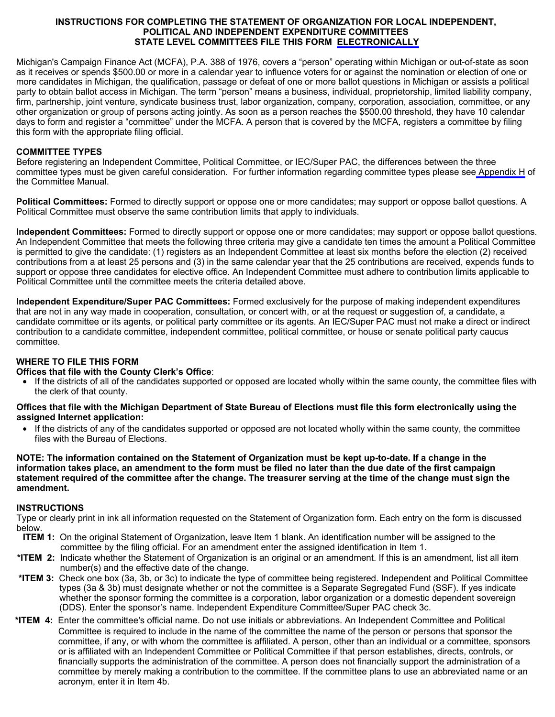#### **INSTRUCTIONS FOR COMPLETING THE STATEMENT OF ORGANIZATION FOR LOCAL INDEPENDENT, POLITICAL AND INDEPENDENT EXPENDITURE COMMITTEES STATE LEVEL COMMITTEES FILE THIS FORM [ELECTRONICALLY](https://midisclose.nictusa.com/)**

Michigan's Campaign Finance Act (MCFA), P.A. 388 of 1976, covers a "person" operating within Michigan or out-of-state as soon as it receives or spends \$500.00 or more in a calendar year to influence voters for or against the nomination or election of one or more candidates in Michigan, the qualification, passage or defeat of one or more ballot questions in Michigan or assists a political party to obtain ballot access in Michigan. The term "person" means a business, individual, proprietorship, limited liability company, firm, partnership, joint venture, syndicate business trust, labor organization, company, corporation, association, committee, or any other organization or group of persons acting jointly. As soon as a person reaches the \$500.00 threshold, they have 10 calendar days to form and register a "committee" under the MCFA. A person that is covered by the MCFA, registers a committee by filing this form with the appropriate filing official.

## **COMMITTEE TYPES**

Before registering an Independent Committee, Political Committee, or IEC/Super PAC, the differences between the three committee types must be given careful consideration. For further information regarding committee types please se[e Appendix](https://mertsplus.com/mertsuserguide/index.php?n=MANUALS.AppendixH) H of the Committee Manual.

**Political Committees:** Formed to directly support or oppose one or more candidates; may support or oppose ballot questions. A Political Committee must observe the same contribution limits that apply to individuals.

**Independent Committees:** Formed to directly support or oppose one or more candidates; may support or oppose ballot questions. An Independent Committee that meets the following three criteria may give a candidate ten times the amount a Political Committee is permitted to give the candidate: (1) registers as an Independent Committee at least six months before the election (2) received contributions from a at least 25 persons and (3) in the same calendar year that the 25 contributions are received, expends funds to support or oppose three candidates for elective office. An Independent Committee must adhere to contribution limits applicable to Political Committee until the committee meets the criteria detailed above.

**Independent Expenditure/Super PAC Committees:** Formed exclusively for the purpose of making independent expenditures that are not in any way made in cooperation, consultation, or concert with, or at the request or suggestion of, a candidate, a candidate committee or its agents, or political party committee or its agents. An IEC/Super PAC must not make a direct or indirect contribution to a candidate committee, independent committee, political committee, or house or senate political party caucus committee.

# **WHERE TO FILE THIS FORM**

## **Offices that file with the County Clerk's Office**:

• If the districts of all of the candidates supported or opposed are located wholly within the same county, the committee files with the clerk of that county.

## **Offices that file with the Michigan Department of State Bureau of Elections must file this form electronically using the assigned Internet application:**

If the districts of any of the candidates supported or opposed are not located wholly within the same county, the committee files with the Bureau of Elections.

**NOTE: The information contained on the Statement of Organization must be kept up-to-date. If a change in the information takes place, an amendment to the form must be filed no later than the due date of the first campaign statement required of the committee after the change. The treasurer serving at the time of the change must sign the amendment.**

## **INSTRUCTIONS**

Type or clearly print in ink all information requested on the Statement of Organization form. Each entry on the form is discussed below.

- **ITEM 1:** On the original Statement of Organization, leave Item 1 blank. An identification number will be assigned to the committee by the filing official. For an amendment enter the assigned identification in Item 1.
- **\*ITEM 2:** Indicate whether the Statement of Organization is an original or an amendment. If this is an amendment, list all item number(s) and the effective date of the change.
- **\*ITEM 3:** Check one box (3a, 3b, or 3c) to indicate the type of committee being registered. Independent and Political Committee types (3a & 3b) must designate whether or not the committee is a Separate Segregated Fund (SSF). If yes indicate whether the sponsor forming the committee is a corporation, labor organization or a domestic dependent sovereign (DDS). Enter the sponsor's name. Independent Expenditure Committee/Super PAC check 3c.
- **\*ITEM 4:** Enter the committee's official name. Do not use initials or abbreviations. An Independent Committee and Political Committee is required to include in the name of the committee the name of the person or persons that sponsor the committee, if any, or with whom the committee is affiliated. A person, other than an individual or a committee, sponsors or is affiliated with an Independent Committee or Political Committee if that person establishes, directs, controls, or financially supports the administration of the committee. A person does not financially support the administration of a committee by merely making a contribution to the committee. If the committee plans to use an abbreviated name or an acronym, enter it in Item 4b.